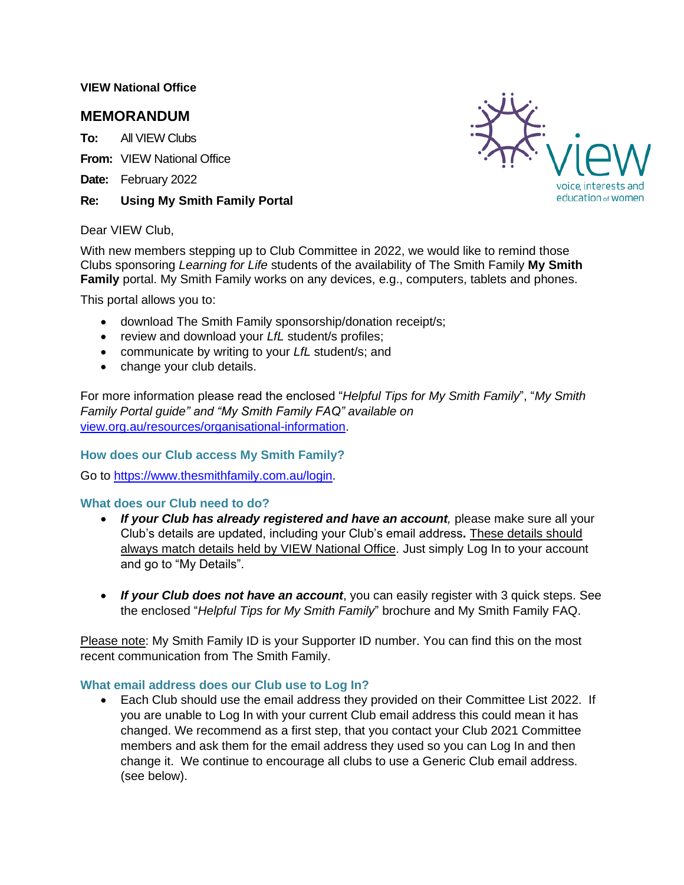### **VIEW National Office**

# **MEMORANDUM**

**To:** All VIEW Clubs

**From:** VIEW National Office

- **Date:** February 2022
- **Re: Using My Smith Family Portal**



#### Dear VIEW Club,

With new members stepping up to Club Committee in 2022, we would like to remind those Clubs sponsoring *Learning for Life* students of the availability of The Smith Family **My Smith Family** portal. My Smith Family works on any devices, e.g., computers, tablets and phones.

This portal allows you to:

- download The Smith Family sponsorship/donation receipt/s;
- review and download your *LfL* student/s profiles;
- communicate by writing to your *LfL* student/s; and
- change your club details.

For more information please read the enclosed "*Helpful Tips for My Smith Family*", "*My Smith Family Portal [guide"](http://view.org.au/media/5581/my-smith-family-portal-for-clubs.pdf) and "My Smith Family FAQ" available on*  [view.org.au/resources/organisational-information.](http://view.org.au/resources/organisational-information/)

### **How does our Club access My Smith Family?**

Go to [https://www.thesmithfamily.com.au/login.](https://www.thesmithfamily.com.au/login)

### **What does our Club need to do?**

- *If your Club has already registered and have an account,* please make sure all your Club's details are updated, including your Club's email address**.** These details should always match details held by VIEW National Office. Just simply Log In to your account and go to "My Details".
- *If your Club does not have an account*, you can easily register with 3 quick steps. See the enclosed "*Helpful Tips for My Smith Family*" brochure and My Smith Family FAQ.

Please note: My Smith Family ID is your Supporter ID number. You can find this on the most recent communication from The Smith Family.

### **What email address does our Club use to Log In?**

• Each Club should use the email address they provided on their Committee List 2022. If you are unable to Log In with your current Club email address this could mean it has changed. We recommend as a first step, that you contact your Club 2021 Committee members and ask them for the email address they used so you can Log In and then change it. We continue to encourage all clubs to use a Generic Club email address. (see below).